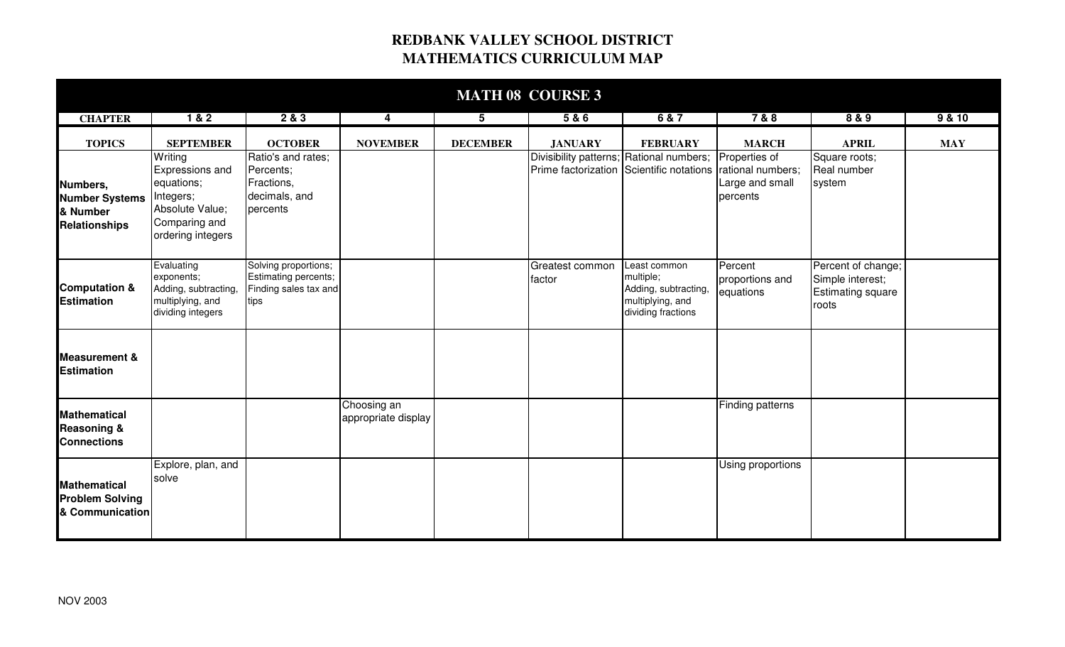## **REDBANK VALLEY SCHOOL DISTRICT MATHEMATICS CURRICULUM MAP**

| <b>MATH 08 COURSE 3</b>                                             |                                                                                                                |                                                                               |                                    |                 |                                          |                                                                                             |                                                                   |                                                                      |            |  |  |
|---------------------------------------------------------------------|----------------------------------------------------------------------------------------------------------------|-------------------------------------------------------------------------------|------------------------------------|-----------------|------------------------------------------|---------------------------------------------------------------------------------------------|-------------------------------------------------------------------|----------------------------------------------------------------------|------------|--|--|
| <b>CHAPTER</b>                                                      | 1&8.2                                                                                                          | 2&3                                                                           | $\overline{\mathbf{4}}$            | 5               | 5&6                                      | 6 & 7                                                                                       | 7 & 8                                                             | 8 & 9                                                                | 9 & 10     |  |  |
| <b>TOPICS</b>                                                       | <b>SEPTEMBER</b>                                                                                               | <b>OCTOBER</b>                                                                | <b>NOVEMBER</b>                    | <b>DECEMBER</b> | <b>JANUARY</b>                           | <b>FEBRUARY</b>                                                                             | <b>MARCH</b>                                                      | <b>APRIL</b>                                                         | <b>MAY</b> |  |  |
| Numbers,<br><b>Number Systems</b><br>& Number<br>Relationships      | Writing<br>Expressions and<br>equations;<br>Integers;<br>Absolute Value;<br>Comparing and<br>ordering integers | Ratio's and rates;<br>Percents;<br>Fractions,<br>decimals, and<br>percents    |                                    |                 | Divisibility patterns; Rational numbers; | Prime factorization Scientific notations                                                    | Properties of<br>rational numbers;<br>Large and small<br>percents | Square roots;<br>Real number<br>system                               |            |  |  |
| <b>Computation &amp;</b><br><b>Estimation</b>                       | Evaluating<br>exponents;<br>Adding, subtracting,<br>multiplying, and<br>dividing integers                      | Solving proportions;<br>Estimating percents;<br>Finding sales tax and<br>tips |                                    |                 | Greatest common<br>factor                | Least common<br>multiple;<br>Adding, subtracting,<br>multiplying, and<br>dividing fractions | Percent<br>proportions and<br>equations                           | Percent of change;<br>Simple interest;<br>Estimating square<br>roots |            |  |  |
| <b>Measurement &amp;</b><br><b>Estimation</b>                       |                                                                                                                |                                                                               |                                    |                 |                                          |                                                                                             |                                                                   |                                                                      |            |  |  |
| <b>Mathematical</b><br><b>Reasoning &amp;</b><br><b>Connections</b> |                                                                                                                |                                                                               | Choosing an<br>appropriate display |                 |                                          |                                                                                             | Finding patterns                                                  |                                                                      |            |  |  |
| <b>Mathematical</b><br><b>Problem Solving</b><br>& Communication    | Explore, plan, and<br>solve                                                                                    |                                                                               |                                    |                 |                                          |                                                                                             | Using proportions                                                 |                                                                      |            |  |  |